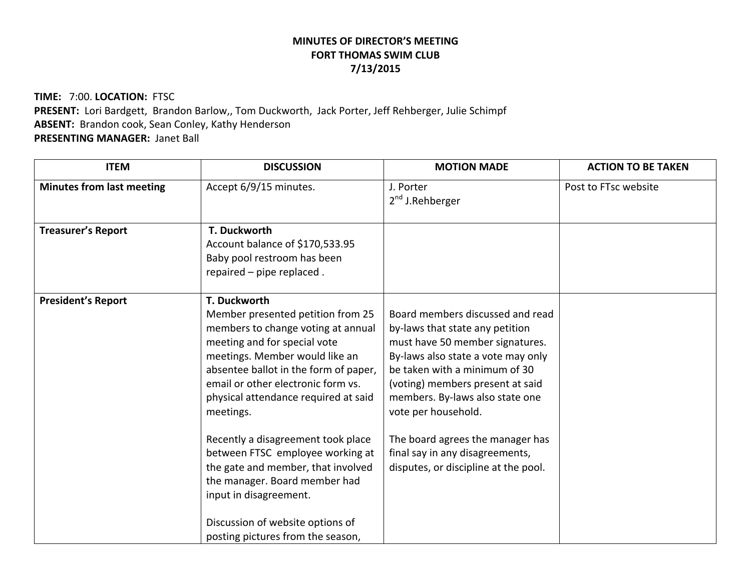## **MINUTES OF DIRECTOR'S MEETING FORT THOMAS SWIM CLUB 7/13/2015**

**TIME:** 7:00. **LOCATION:** FTSC **PRESENT:** Lori Bardgett, Brandon Barlow,, Tom Duckworth, Jack Porter, Jeff Rehberger, Julie Schimpf **ABSENT:** Brandon cook, Sean Conley, Kathy Henderson **PRESENTING MANAGER:** Janet Ball

| <b>ITEM</b>                      | <b>DISCUSSION</b>                                                                                                                                                                                                                                                                                                                                                                                                                                                                                                                                 | <b>MOTION MADE</b>                                                                                                                                                                                                                                                                                                                                                                         | <b>ACTION TO BE TAKEN</b> |
|----------------------------------|---------------------------------------------------------------------------------------------------------------------------------------------------------------------------------------------------------------------------------------------------------------------------------------------------------------------------------------------------------------------------------------------------------------------------------------------------------------------------------------------------------------------------------------------------|--------------------------------------------------------------------------------------------------------------------------------------------------------------------------------------------------------------------------------------------------------------------------------------------------------------------------------------------------------------------------------------------|---------------------------|
| <b>Minutes from last meeting</b> | Accept 6/9/15 minutes.                                                                                                                                                                                                                                                                                                                                                                                                                                                                                                                            | J. Porter<br>$2nd$ J. Rehberger                                                                                                                                                                                                                                                                                                                                                            | Post to FTsc website      |
| <b>Treasurer's Report</b>        | T. Duckworth<br>Account balance of \$170,533.95<br>Baby pool restroom has been<br>repaired - pipe replaced.                                                                                                                                                                                                                                                                                                                                                                                                                                       |                                                                                                                                                                                                                                                                                                                                                                                            |                           |
| <b>President's Report</b>        | T. Duckworth<br>Member presented petition from 25<br>members to change voting at annual<br>meeting and for special vote<br>meetings. Member would like an<br>absentee ballot in the form of paper,<br>email or other electronic form vs.<br>physical attendance required at said<br>meetings.<br>Recently a disagreement took place<br>between FTSC employee working at<br>the gate and member, that involved<br>the manager. Board member had<br>input in disagreement.<br>Discussion of website options of<br>posting pictures from the season, | Board members discussed and read<br>by-laws that state any petition<br>must have 50 member signatures.<br>By-laws also state a vote may only<br>be taken with a minimum of 30<br>(voting) members present at said<br>members. By-laws also state one<br>vote per household.<br>The board agrees the manager has<br>final say in any disagreements,<br>disputes, or discipline at the pool. |                           |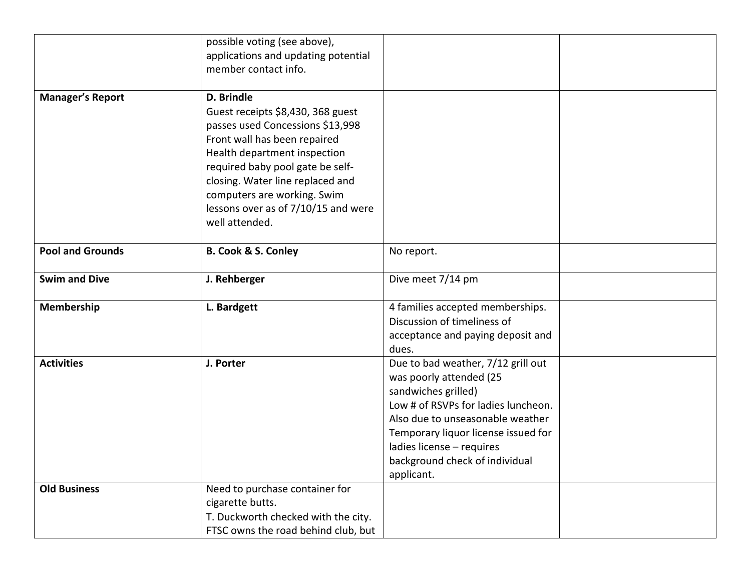|                         | possible voting (see above),                                         |                                                            |  |
|-------------------------|----------------------------------------------------------------------|------------------------------------------------------------|--|
|                         | applications and updating potential                                  |                                                            |  |
|                         | member contact info.                                                 |                                                            |  |
| <b>Manager's Report</b> | D. Brindle                                                           |                                                            |  |
|                         | Guest receipts \$8,430, 368 guest                                    |                                                            |  |
|                         | passes used Concessions \$13,998                                     |                                                            |  |
|                         | Front wall has been repaired                                         |                                                            |  |
|                         | Health department inspection                                         |                                                            |  |
|                         | required baby pool gate be self-<br>closing. Water line replaced and |                                                            |  |
|                         | computers are working. Swim                                          |                                                            |  |
|                         | lessons over as of 7/10/15 and were                                  |                                                            |  |
|                         | well attended.                                                       |                                                            |  |
|                         |                                                                      |                                                            |  |
| <b>Pool and Grounds</b> | <b>B. Cook &amp; S. Conley</b>                                       | No report.                                                 |  |
| <b>Swim and Dive</b>    | J. Rehberger                                                         | Dive meet 7/14 pm                                          |  |
| Membership              | L. Bardgett                                                          | 4 families accepted memberships.                           |  |
|                         |                                                                      | Discussion of timeliness of                                |  |
|                         |                                                                      | acceptance and paying deposit and                          |  |
|                         |                                                                      | dues.                                                      |  |
| <b>Activities</b>       | J. Porter                                                            | Due to bad weather, 7/12 grill out                         |  |
|                         |                                                                      | was poorly attended (25                                    |  |
|                         |                                                                      | sandwiches grilled)<br>Low # of RSVPs for ladies luncheon. |  |
|                         |                                                                      | Also due to unseasonable weather                           |  |
|                         |                                                                      | Temporary liquor license issued for                        |  |
|                         |                                                                      | ladies license - requires                                  |  |
|                         |                                                                      | background check of individual                             |  |
|                         |                                                                      | applicant.                                                 |  |
| <b>Old Business</b>     | Need to purchase container for                                       |                                                            |  |
|                         | cigarette butts.                                                     |                                                            |  |
|                         | T. Duckworth checked with the city.                                  |                                                            |  |
|                         | FTSC owns the road behind club, but                                  |                                                            |  |